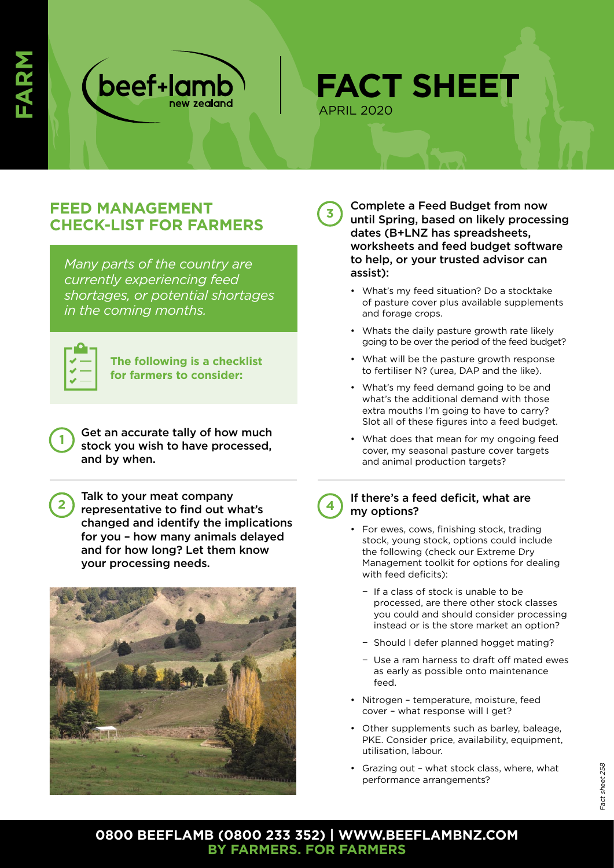

**FACT SHEET** APRIL 2020

**3** 

## **FEED MANAGEMENT CHECK-LIST FOR FARMERS**

*Many parts of the country are currently experiencing feed shortages, or potential shortages in the coming months.* 

**1** 

**2** 

**The following is a checklist for farmers to consider:**

Get an accurate tally of how much stock you wish to have processed, and by when.

Talk to your meat company representative to find out what's changed and identify the implications for you – how many animals delayed and for how long? Let them know your processing needs.



Complete a Feed Budget from now until Spring, based on likely processing dates (B+LNZ has spreadsheets, worksheets and feed budget software to help, or your trusted advisor can assist):

- What's my feed situation? Do a stocktake of pasture cover plus available supplements and forage crops.
- Whats the daily pasture growth rate likely going to be over the period of the feed budget?
- What will be the pasture growth response to fertiliser N? (urea, DAP and the like).
- What's my feed demand going to be and what's the additional demand with those extra mouths I'm going to have to carry? Slot all of these figures into a feed budget.
- What does that mean for my ongoing feed cover, my seasonal pasture cover targets and animal production targets?
- If there's a feed deficit, what are my options? **4** 
	- For ewes, cows, finishing stock, trading stock, young stock, options could include the following (check our Extreme Dry Management toolkit for options for dealing with feed deficits):
		- − If a class of stock is unable to be processed, are there other stock classes you could and should consider processing instead or is the store market an option?
		- − Should I defer planned hogget mating?
		- − Use a ram harness to draft off mated ewes as early as possible onto maintenance feed.
	- Nitrogen temperature, moisture, feed cover - what response will I get?
	- Other supplements such as barley, baleage, PKE. Consider price, availability, equipment, utilisation, labour.
	- Grazing out what stock class, where, what performance arrangements?

## **0800 BEEFLAMB (0800 233 352) | WWW.BEEFLAMBNZ.COM BY FARMERS. FOR FARMERS**